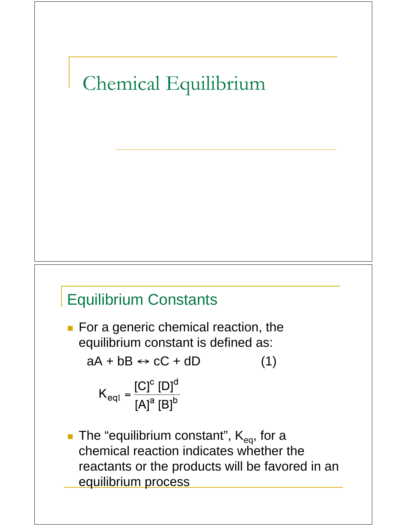# Chemical Equilibrium

#### Equilibrium Constants

For a generic chemical reaction, the equilibrium constant is defined as:

 $aA + bB \leftrightarrow cC + dD$  (1)

$$
K_{\text{eq1}} = \frac{\left[C\right]^{\text{c}} \left[D\right]^{\text{d}}}{\left[A\right]^{\text{a}} \left[B\right]^{\text{b}}}
$$

The "equilibrium constant",  $K_{eq}$ , for a chemical reaction indicates whether the reactants or the products will be favored in an equilibrium process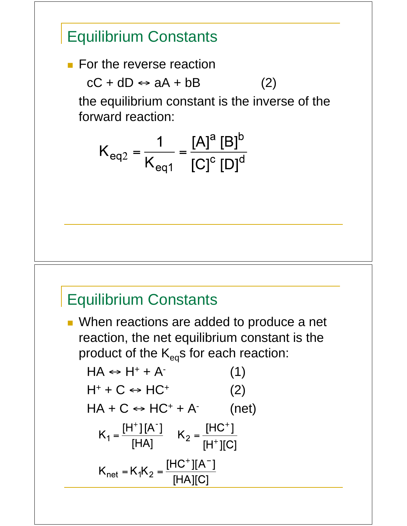#### Equilibrium Constants

**For the reverse reaction** 

 $cC + dD \leftrightarrow aA + bB$  (2)

 the equilibrium constant is the inverse of the forward reaction:

$$
K_{eq2} = \frac{1}{K_{eq1}} = \frac{[A]^a [B]^b}{[C]^c [D]^d}
$$

#### Equilibrium Constants

**Nhen reactions are added to produce a net** reaction, the net equilibrium constant is the product of the  $K_{eq}s$  for each reaction:

$$
HA \Leftrightarrow H^{+} + A^{-}
$$
\n
$$
(1)
$$
\n
$$
H^{+} + C \Leftrightarrow HC^{+}
$$
\n
$$
(2)
$$
\n
$$
HA + C \Leftrightarrow HC^{+} + A^{-}
$$
\n
$$
(net)
$$
\n
$$
K_{1} = \frac{[H^{+}][A^{-}]}{[HA]} \quad K_{2} = \frac{[HC^{+}]}{[H^{+}][C]}
$$
\n
$$
K_{net} = K_{1}K_{2} = \frac{[HC^{+}][A^{-}]}{[HA][C]}
$$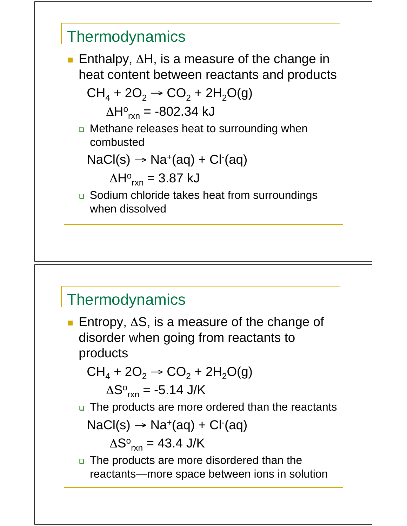

#### **Thermodynamics**

**Entropy,**  $\Delta S$ **, is a measure of the change of** disorder when going from reactants to products

$$
CH_4 + 2O_2 \rightarrow CO_2 + 2H_2O(g)
$$

$$
\Delta S^{\circ}_{rxn} = -5.14 \text{ J/K}
$$

n The products are more ordered than the reactants

$$
NaCl(s) \rightarrow Na^{+}(aq) + Cl^{-}(aq)
$$

 $\Delta S^{\circ}{}_{rxn} = 43.4 \text{ J/K}$ 

n The products are more disordered than the reactants—more space between ions in solution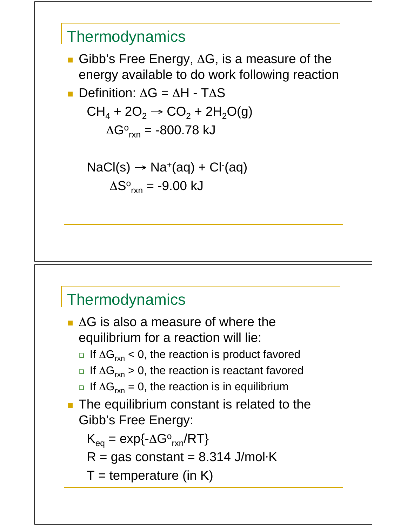

#### **Thermodynamics**

 $\blacksquare$  AG is also a measure of where the equilibrium for a reaction will lie:

**u** If  $\Delta G_{rxn}$  < 0, the reaction is product favored

- **u** If  $\Delta G_{rxn}$  > 0, the reaction is reactant favored
- **u** If  $\Delta G_{rxn} = 0$ , the reaction is in equilibrium
- **The equilibrium constant is related to the** Gibb's Free Energy:

 $K_{eq} = exp{-\Delta G^o}_{rxn}/RT$ 

 $R = gas constant = 8.314$  J/mol $\cdot$ K

 $T =$  temperature (in K)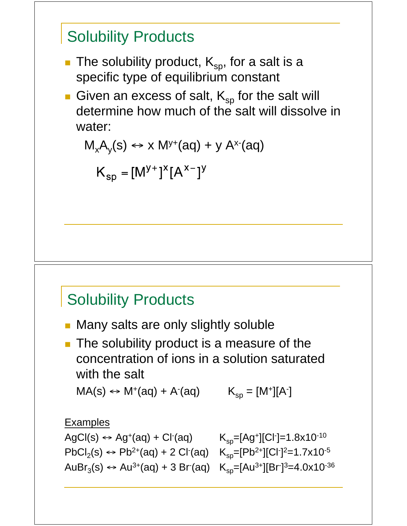### Solubility Products

- The solubility product,  $K_{sp}$ , for a salt is a specific type of equilibrium constant
- Given an excess of salt,  $K_{\rm SD}$  for the salt will determine how much of the salt will dissolve in water:

$$
M_xA_y(s) \leftrightarrow x M^{y+}(aq) + y A^{x-}(aq)
$$

$$
K_{sp} = [M^{y+}]^x [A^{x-}]^y
$$

#### Solubility Products

- **Many salts are only slightly soluble**
- **The solubility product is a measure of the** concentration of ions in a solution saturated with the salt

 $MA(s) \leftrightarrow M^{+}(aq) + A^{-}(aq)$   $K_{sp} = [M^{+}][A^{-}]$ 

#### Examples

 $AgCl(s) \leftrightarrow Ag^{+}(aq) + Cl^{-}(aq)$  $PbCl<sub>2</sub>(s) \leftrightarrow Pb<sup>2+</sup>(aq) + 2 Cl<sup>-</sup>(aq)$   $K<sub>sp</sub>=[Pb<sup>2+</sup>][Cl<sup>-</sup>]<sup>2</sup>=1.7x10<sup>-5</sup>$ AuBr<sub>3</sub>(s) ↔ Au<sup>3+</sup>(aq) + 3 Br (aq) K<sub>sp</sub>=[Au<sup>3+</sup>][Br<sup>-</sup>]<sup>3</sup>=4.0x10<sup>-36</sup>

(aq)  $K_{sp}=[Ag^+][Cl^-]=1.8x10^{-10}$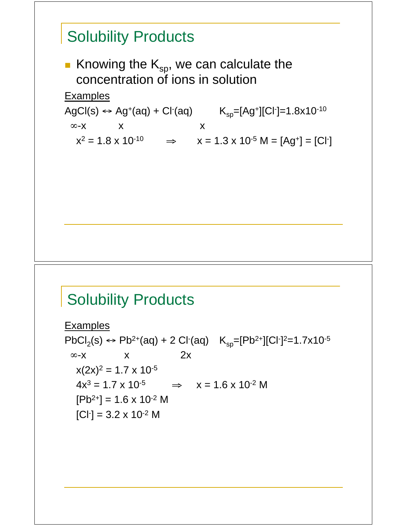### **Solubility Products**

Knowing the  $K_{sp}$ , we can calculate the concentration of ions in solution

Examples

AgCl(s) ↔ Ag<sup>+</sup>(aq) + Cl<sup>-</sup>(aq) K<sub>sp</sub>=[Ag<sup>+</sup>][Cl<sup>-</sup>]=1.8x10<sup>-10</sup>  $\infty$ -x x x

 $x^2 = 1.8 \times 10^{-10}$   $\Rightarrow$   $x = 1.3 \times 10^{-5}$  M = [Ag<sup>+</sup>] = [Cl<sup>-</sup>]

### **Solubility Products**

Examples PbCl<sub>2</sub>(s) ↔ Pb<sup>2+</sup>(aq) + 2 Cl<sup>-</sup>(aq) K<sub>sp</sub>=[Pb<sup>2+</sup>][Cl<sup>-</sup>]<sup>2</sup>=1.7x10<sup>-5</sup>  $\infty$ -x x 2x  $x(2x)^2 = 1.7 \times 10^{-5}$  $4x^3 = 1.7 \times 10^{-5}$   $\Rightarrow$   $x = 1.6 \times 10^{-2}$  M  $[Pb^{2+}] = 1.6 \times 10^{-2}$  M  $[Cl<sup>-</sup>] = 3.2 \times 10^{-2}$  M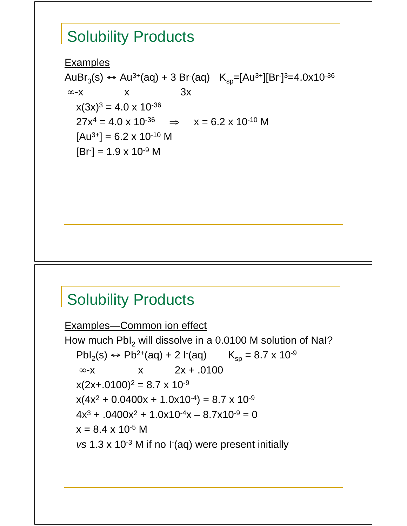#### Solubility Products

Examples AuBr<sub>3</sub>(s) ↔ Au<sup>3+</sup>(aq) + 3 Br (aq) K<sub>sp</sub>=[Au<sup>3+</sup>][Br<sup>-</sup>]<sup>3</sup>=4.0x10<sup>-36</sup>  $\infty$ -x x 3x  $x(3x)^3 = 4.0 \times 10^{-36}$  $27x^4 = 4.0 \times 10^{-36}$   $\Rightarrow$   $x = 6.2 \times 10^{-10}$  M  $[Au^{3+}] = 6.2 \times 10^{-10}$  M  $[Br] = 1.9 \times 10^{-9}$  M

#### **Solubility Products**

Examples—Common ion effect How much  $Pbl_2$  will dissolve in a 0.0100 M solution of NaI?  $Pbl_2(s) \leftrightarrow Pb^{2+}(aq) + 2 I'(aq)$   $K_{sp} = 8.7 \times 10^{-9}$  $\infty$ -x  $x$  2x + .0100  $x(2x+.0100)^2 = 8.7 \times 10^{-9}$  $x(4x^2 + 0.0400x + 1.0x10^{-4}) = 8.7 \times 10^{-9}$  $4x^3 + .0400x^2 + 1.0x10^{-4}x - 8.7x10^{-9} = 0$  $x = 8.4 \times 10^{-5}$  M vs 1.3 x 10<sup>-3</sup> M if no I<sup>-</sup>(aq) were present initially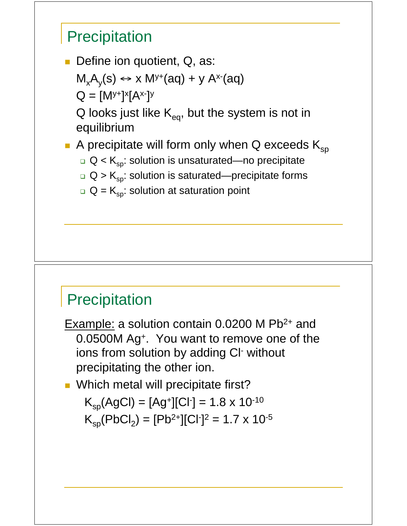#### **Precipitation**

Define ion quotient, Q, as:

$$
M_xA_y(s) \leftrightarrow x M^{y+}(aq) + y A^{x-}(aq)
$$

$$
Q = [M^{y+}]^x [A^{x-}]^y
$$

Q looks just like  $K_{eq}$ , but the system is not in equilibrium

A precipitate will form only when Q exceeds  $K_{\rm so}$ 

- $\Box$  Q < K<sub>sp</sub>: solution is unsaturated—no precipitate
- $\Box$  Q >  $\mathsf{K}_{\mathsf{sp}}$ : solution is saturated—precipitate forms
- $\Box$  Q =  $\mathsf{K}_{\mathsf{sp}}$ : solution at saturation point

#### **Precipitation**

Example: a solution contain 0.0200 M Pb<sup>2+</sup> and 0.0500M Ag+. You want to remove one of the ions from solution by adding CI<sup>-</sup> without precipitating the other ion.

**Nhich metal will precipitate first?** 

$$
K_{\rm sp}(AgCl) = [Ag^*][Cl^*] = 1.8 \times 10^{-10}
$$
  

$$
K_{\rm sp}(PbCl_2) = [Pb^{2+}][Cl^*]^2 = 1.7 \times 10^{-5}
$$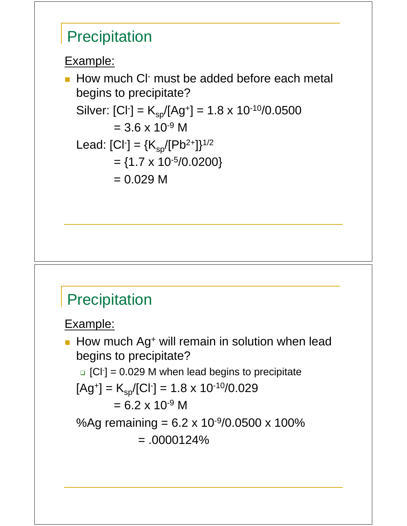#### **Precipitation**

Example:

**How much CI must be added before each metal** begins to precipitate? Silver:  $[Cl^-] = K_{sp}/[Ag^+] = 1.8 \times 10^{-10}/0.0500$  $= 3.6 \times 10^{-9}$  M Lead:  $[Cl^{-}] = {K_{sp}/[Pb^{2+}]}^{1/2}$  $= \{1.7 \times 10^{-5}/0.0200\}$  $= 0.029 M$ 

#### **Precipitation**

Example:

How much Ag<sup>+</sup> will remain in solution when lead begins to precipitate?  $G$ [Cl<sup>-</sup>] = 0.029 M when lead begins to precipitate  $[Ag^+] = K_{sp} / [Cl^-] = 1.8 \times 10^{-10} / 0.029$  $= 6.2 \times 10^{-9}$  M %Ag remaining =  $6.2 \times 10^{-9} / 0.0500 \times 100\%$  $= .0000124%$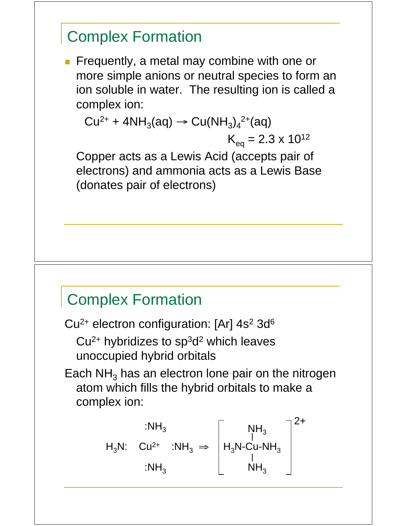#### Complex Formation

**Figure Frequently, a metal may combine with one or** more simple anions or neutral species to form an ion soluble in water. The resulting ion is called a complex ion:

 $Cu^{2+} + 4NH_3(aq) \rightarrow Cu(NH_3)_4^{2+}(aq)$  $K_{eq} = 2.3 \times 10^{12}$ 

 Copper acts as a Lewis Acid (accepts pair of electrons) and ammonia acts as a Lewis Base (donates pair of electrons)

#### Complex Formation

 $Cu<sup>2+</sup>$  electron configuration: [Ar]  $4s<sup>2</sup>$  3d<sup>6</sup>

 $Cu<sup>2+</sup>$  hybridizes to sp<sup>3</sup>d<sup>2</sup> which leaves unoccupied hybrid orbitals

Each  $NH<sub>3</sub>$  has an electron lone pair on the nitrogen atom which fills the hybrid orbitals to make a complex ion:

$$
H_3N: \begin{array}{ccc} & & \mathbf{.NH}_3 \\ & & \mathbf{.} \mathsf{NH}_3 \end{array} \Rightarrow \begin{bmatrix} & & \mathsf{NH}_3 \\ & | & \mathsf{NH}_3 \\ & & \mathsf{NH}_3 \end{bmatrix}^{\mathbf{2}+}\\ \mathsf{HH}_3 & \\ & & \mathsf{NH}_3 \end{array}
$$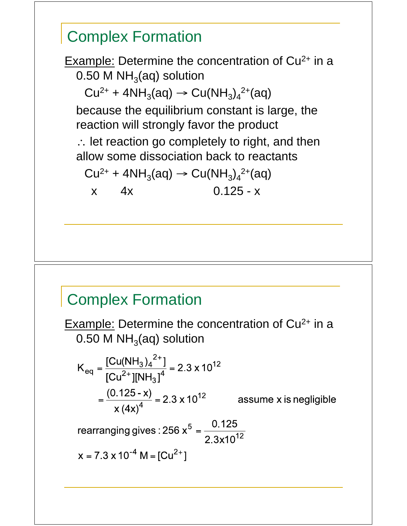## Complex Formation Example: Determine the concentration of  $Cu<sup>2+</sup>$  in a 0.50 M  $NH<sub>3</sub>(aq)$  solution  $Cu^{2+} + 4NH_3(aq) \rightarrow Cu(NH_3)_4^{2+}(aq)$  because the equilibrium constant is large, the reaction will strongly favor the product : let reaction go completely to right, and then allow some dissociation back to reactants  $Cu^{2+} + 4NH_3(aq) \rightarrow Cu(NH_3)_4^{2+}(aq)$ x 4x 0.125 - x

#### Complex Formation

Example: Determine the concentration of Cu<sup>2+</sup> in a 0.50 M  $NH<sub>3</sub>(aq)$  solution

$$
K_{\text{eq}} = \frac{[Cu(NH_3)_4^{2+}]}{[Cu^{2+}][NH_3]^4} = 2.3 \times 10^{12}
$$

$$
= \frac{(0.125 - x)}{x (4x)^4} = 2.3 \times 10^{12} \qquad \text{as}
$$

ssume x is negligible

rearranging gives : 256 
$$
x^5 = \frac{0.125}{2.3x10^{12}}
$$

$$
x = 7.3 \times 10^{-4} \text{ M} = [Cu^{2+}]
$$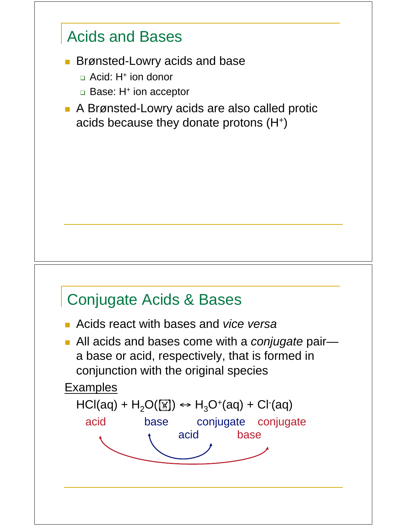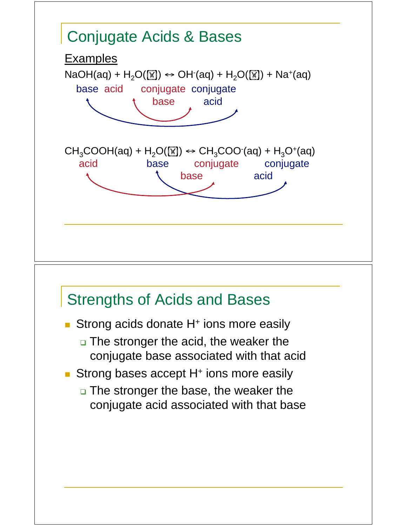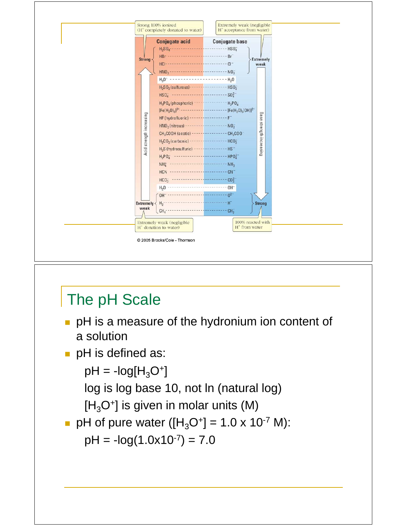

# The pH Scale

- **PH** is a measure of the hydronium ion content of a solution
- pH is defined as:

```
pH = -log[H<sub>3</sub>O<sup>+</sup>]
```
log is log base 10, not ln (natural log)

 $[H_3O^+]$  is given in molar units (M)

pH of pure water ([H3O+] = 1.0 x 10-7 M):

 $pH = -log(1.0x10^{-7}) = 7.0$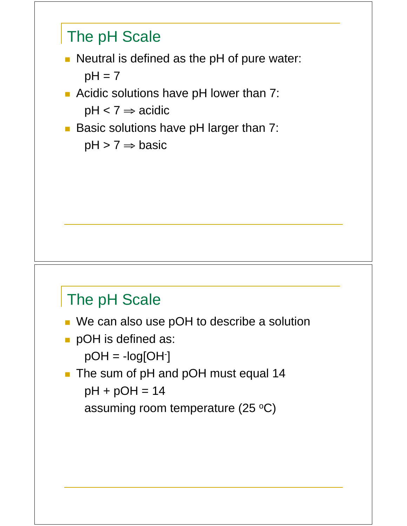

 $pH > 7 \Rightarrow$  basic

# The pH Scale

- We can also use pOH to describe a solution
- **pOH** is defined as:

 $pOH = -log[OH^{-}]$ 

The sum of pH and pOH must equal 14  $pH + pOH = 14$ 

assuming room temperature (25  $\mathrm{^{\circ}C}$ )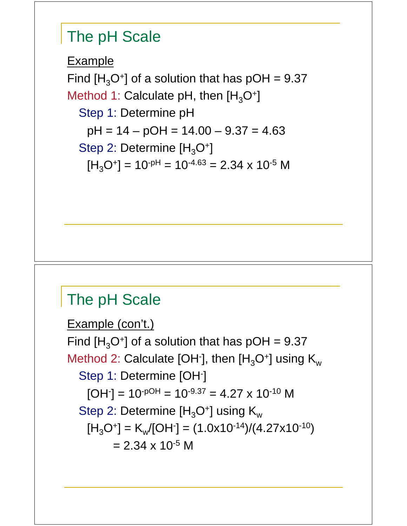#### The pH Scale

Example Find  $[H_3O^+]$  of a solution that has pOH = 9.37 Method 1: Calculate pH, then  $[H_3O^+]$ Step 1: Determine pH  $pH = 14 - pOH = 14.00 - 9.37 = 4.63$ Step 2: Determine  $[H_3O^+]$  $[H_3O^+] = 10^{-pH} = 10^{-4.63} = 2.34 \times 10^{-5}$  M

#### The pH Scale

Example (con't.) Find  $[H_3O^+]$  of a solution that has pOH = 9.37 Method 2: Calculate [OH $\cdot$ ], then [H<sub>3</sub>O $\cdot$ ] using K<sub>w</sub> Step 1: Determine [OH<sup>-</sup>]  $[OH$ ] = 10<sup>-pOH</sup> = 10<sup>-9.37</sup> = 4.27 x 10<sup>-10</sup> M Step 2: Determine  $[H_3O^+]$  using  $K_w$  $[H_3O^+] = K_w/[OH^-] = (1.0x10^{-14})/(4.27x10^{-10})$  $= 2.34 \times 10^{-5}$  M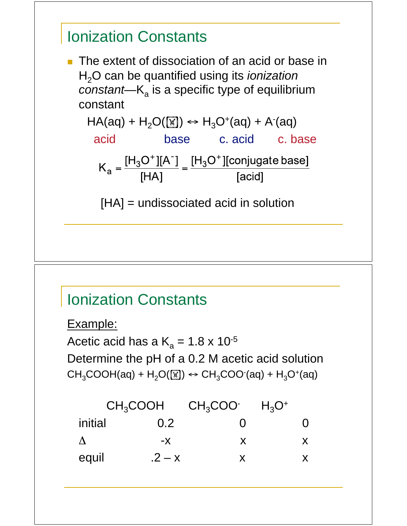#### Ionization Constants

**The extent of dissociation of an acid or base in** H2O can be quantified using its *ionization constant*— $K_a$  is a specific type of equilibrium constant

 $HA(aq) + H_2O(\boxed{M}) \leftrightarrow H_3O^+(aq) + A^-(aq)$  acid base c. acid c. base  $\overline{L}$   $\overline{C}$   $\overline{C}$   $\overline{C}$   $\overline{C}$   $\overline{C}$   $\overline{C}$   $\overline{C}$   $\overline{C}$   $\overline{C}$   $\overline{C}$   $\overline{C}$   $\overline{C}$   $\overline{C}$   $\overline{C}$   $\overline{C}$   $\overline{C}$   $\overline{C}$   $\overline{C}$   $\overline{C}$   $\overline{C}$   $\overline{C}$   $\overline{C}$   $\overline{C}$   $\overline{$ 

$$
K_{a} = \frac{[H_{3}O^{+}][A^{-}]}{[HA]} = \frac{[H_{3}O^{+}][\text{conjugate base}]}{[\text{acid}]}
$$

[HA] = undissociated acid in solution

#### Ionization Constants

Example:

Acetic acid has a  $K_a = 1.8 \times 10^{-5}$ Determine the pH of a 0.2 M acetic acid solution  $CH<sub>3</sub>COOH(aq) + H<sub>2</sub>O([\textbf{M})) \leftrightarrow CH<sub>3</sub>COO(aq) + H<sub>3</sub>O<sup>+</sup>(aq)$ 

| CH <sub>3</sub> COOH |          | $CH_3COO^-$ | $H_3O^+$ |  |
|----------------------|----------|-------------|----------|--|
| initial              | 0.2      |             |          |  |
|                      | -X       | x.          |          |  |
| equil                | $.2 - x$ |             |          |  |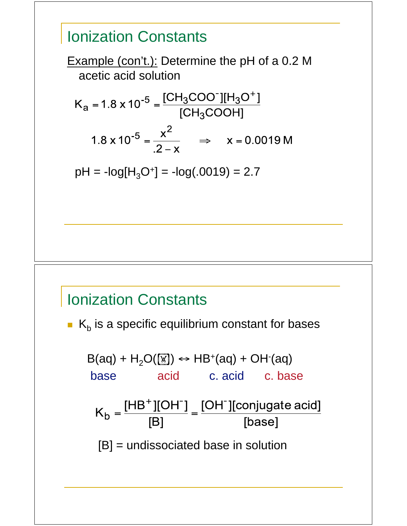#### Ionization Constants

I

Example (con't.): Determine the pH of a 0.2 M acetic acid solution

$$
\begin{aligned}\n\mathbf{X}_{a} &= 1.8 \times 10^{-5} = \frac{[CH_{3}COO^{-}][H_{3}O^{+}]}{[CH_{3}COOH]} \\
1.8 \times 10^{-5} &= \frac{x^{2}}{.2 - x} \implies x = 0.0019 \, \text{M}\n\end{aligned}
$$

 $pH = -log[H<sub>3</sub>O<sup>+</sup>] = -log(.0019) = 2.7$ 

#### Ionization Constants

 $K_b$  is a specific equilibrium constant for bases

$$
B(aq) + H2O([\underline{w}]) \leftrightarrow HB+(aq) + OH-(aq)
$$
  
base acid c. acid c. base  

$$
Kb = \frac{[HB+][OH-]}{[B]} = \frac{[OH-][conjugate acid]}{[base]}
$$
  
[B] = undissociated base in solution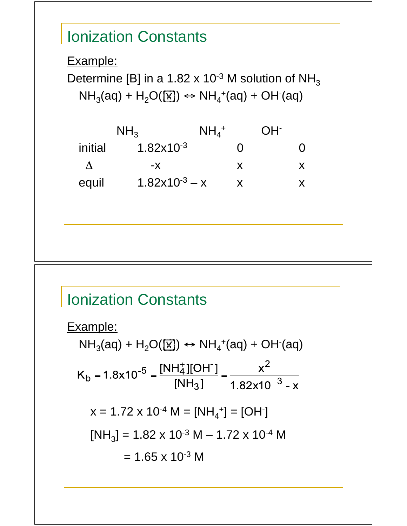# Ionization Constants Example: Determine [B] in a 1.82 x 10<sup>-3</sup> M solution of  $NH<sub>3</sub>$  $NH<sub>3</sub>(aq) + H<sub>2</sub>O(W) \leftrightarrow NH<sub>4</sub><sup>+</sup>(aq) + OH<sup>-</sup>(aq)$  $NH<sub>3</sub>$   $NH<sub>4</sub>$ <sup>+</sup> + OH initial  $1.82 \times 10^{-3}$  0 0  $\Delta$  -x x x x equil  $1.82x10^{-3} - x$  x x

#### Ionization Constants

Example:  $NH<sub>3</sub>(aq) + H<sub>2</sub>O(W) \leftrightarrow NH<sub>4</sub><sup>+</sup>(aq) + OH<sup>-</sup>(aq)$  $K_b = 1.8 \times 10^{-5} = \frac{[NH_4^+][OH^-]}{[NH_3]} = \frac{x^2}{1.82 \times 10^{-3} - x}$  $x = 1.72 \times 10^{-4}$  M = [NH<sub>4</sub><sup>+</sup>] = [OH<sup>-</sup>]  $[NH<sub>3</sub>] = 1.82 \times 10^{-3} M - 1.72 \times 10^{-4} M$  $= 1.65 \times 10^{-3}$  M